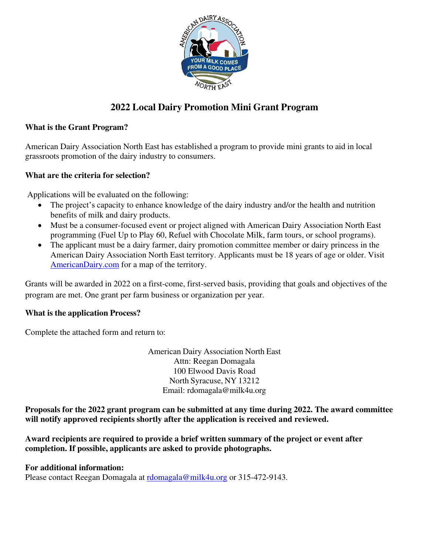

# **2022 Local Dairy Promotion Mini Grant Program**

## **What is the Grant Program?**

American Dairy Association North East has established a program to provide mini grants to aid in local grassroots promotion of the dairy industry to consumers.

## **What are the criteria for selection?**

Applications will be evaluated on the following:

- The project's capacity to enhance knowledge of the dairy industry and/or the health and nutrition benefits of milk and dairy products.
- Must be a consumer-focused event or project aligned with American Dairy Association North East programming (Fuel Up to Play 60, Refuel with Chocolate Milk, farm tours, or school programs).
- The applicant must be a dairy farmer, dairy promotion committee member or dairy princess in the American Dairy Association North East territory. Applicants must be 18 years of age or older. Visit AmericanDairy.com for a map of the territory.

Grants will be awarded in 2022 on a first-come, first-served basis, providing that goals and objectives of the program are met. One grant per farm business or organization per year.

#### **What is the application Process?**

Complete the attached form and return to:

American Dairy Association North East Attn: Reegan Domagala 100 Elwood Davis Road North Syracuse, NY 13212 Email: [rdomagala@milk4u.org](mailto:rdomagala@milk4u.org) 

**Proposals for the 2022 grant program can be submitted at any time during 2022. The award committee will notify approved recipients shortly after the application is received and reviewed.** 

**Award recipients are required to provide a brief written summary of the project or event after completion. If possible, applicants are asked to provide photographs.** 

#### **For additional information:**

Please contact Reegan Domagala at [rdomagala@milk4u.org o](mailto:rdomagala@milk4u.org)r 315-472-9143.